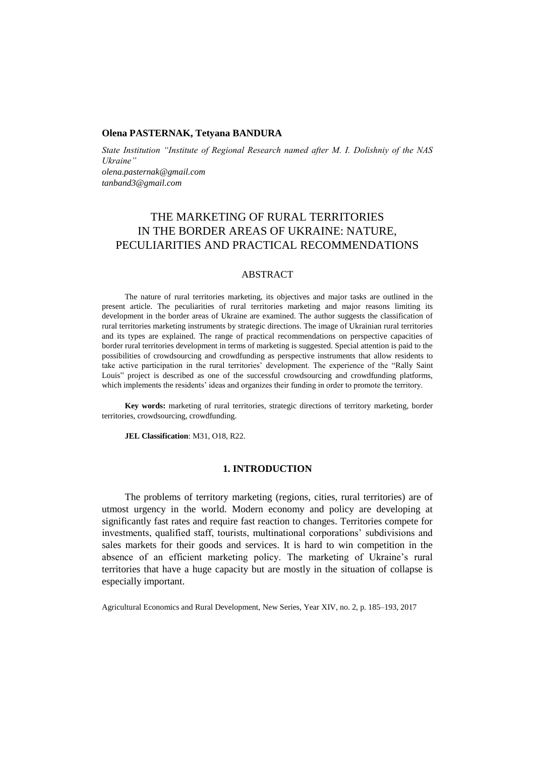## **Olena PASTERNAK, Tetyana BANDURA**

*State Institution "Institute of Regional Research named after M. I. Dolishniy of the NAS Ukraine" [olena.pasternak@gmail.com](mailto:olena.pasternak@gmail.com) tanband3@gmail.com*

# THE MARKETING OF RURAL TERRITORIES IN THE BORDER AREAS OF UKRAINE: NATURE, PECULIARITIES AND PRACTICAL RECOMMENDATIONS

## ABSTRACT

The nature of rural territories marketing, its objectives and major tasks are outlined in the present article. The peculiarities of rural territories marketing and major reasons limiting its development in the border areas of Ukraine are examined. The author suggests the classification of rural territories marketing instruments by strategic directions. The image of Ukrainian rural territories and its types are explained. The range of practical recommendations on perspective capacities of border rural territories development in terms of marketing is suggested. Special attention is paid to the possibilities of crowdsourcing and crowdfunding as perspective instruments that allow residents to take active participation in the rural territories' development. The experience of the "Rally Saint Louis" project is described as one of the successful crowdsourcing and crowdfunding platforms, which implements the residents' ideas and organizes their funding in order to promote the territory.

**Key words:** marketing of rural territories, strategic directions of territory marketing, border territories, crowdsourcing, crowdfunding.

**JEL Classification**: М31, О18, R22.

## **1. INTRODUCTION**

The problems of territory marketing (regions, cities, rural territories) are of utmost urgency in the world. Modern economy and policy are developing at significantly fast rates and require fast reaction to changes. Territories compete for investments, qualified staff, tourists, multinational corporations' subdivisions and sales markets for their goods and services. It is hard to win competition in the absence of an efficient marketing policy. The marketing of Ukraine's rural territories that have a huge capacity but are mostly in the situation of collapse is especially important.

Agricultural Economics and Rural Development, New Series, Year XIV, no. 2, p. 185–193, 2017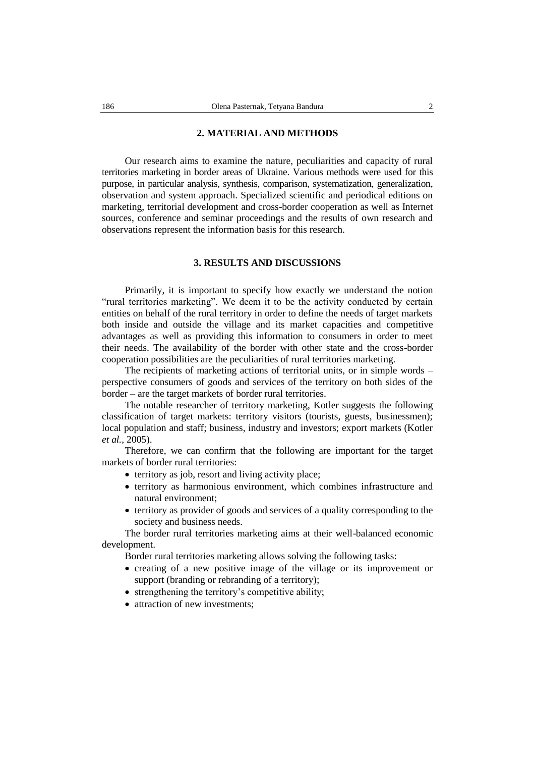## **2. MATERIAL AND METHODS**

Our research aims to examine the nature, peculiarities and capacity of rural territories marketing in border areas of Ukraine. Various methods were used for this purpose, in particular analysis, synthesis, comparison, systematization, generalization, observation and system approach. Specialized scientific and periodical editions on marketing, territorial development and cross-border cooperation as well as Internet sources, conference and seminar proceedings and the results of own research and observations represent the information basis for this research.

## **3. RESULTS AND DISCUSSIONS**

Primarily, it is important to specify how exactly we understand the notion "rural territories marketing". We deem it to be the activity conducted by certain entities on behalf of the rural territory in order to define the needs of target markets both inside and outside the village and its market capacities and competitive advantages as well as providing this information to consumers in order to meet their needs. The availability of the border with other state and the cross-border cooperation possibilities are the peculiarities of rural territories marketing.

The recipients of marketing actions of territorial units, or in simple words – perspective consumers of goods and services of the territory on both sides of the border – are the target markets of border rural territories.

The notable researcher of territory marketing, Kotler suggests the following classification of target markets: territory visitors (tourists, guests, businessmen); local population and staff; business, industry and investors; export markets (Kotler *et al.*, 2005).

Therefore, we can confirm that the following are important for the target markets of border rural territories:

- territory as job, resort and living activity place;
- territory as harmonious environment, which combines infrastructure and natural environment;
- territory as provider of goods and services of a quality corresponding to the society and business needs.

The border rural territories marketing aims at their well-balanced economic development.

Border rural territories marketing allows solving the following tasks:

- creating of a new positive image of the village or its improvement or support (branding or rebranding of a territory);
- strengthening the territory's competitive ability;
- attraction of new investments: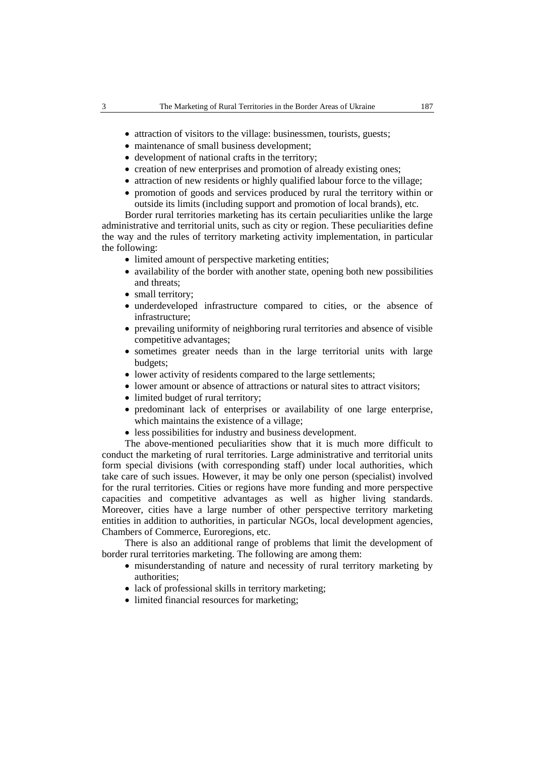- attraction of visitors to the village: businessmen, tourists, guests;
- maintenance of small business development;
- development of national crafts in the territory;
- creation of new enterprises and promotion of already existing ones;
- attraction of new residents or highly qualified labour force to the village;
- promotion of goods and services produced by rural the territory within or outside its limits (including support and promotion of local brands), etc.

Border rural territories marketing has its certain peculiarities unlike the large administrative and territorial units, such as city or region. These peculiarities define the way and the rules of territory marketing activity implementation, in particular the following:

- limited amount of perspective marketing entities;
- availability of the border with another state, opening both new possibilities and threats;
- small territory;
- underdeveloped infrastructure compared to cities, or the absence of infrastructure;
- prevailing uniformity of neighboring rural territories and absence of visible competitive advantages;
- sometimes greater needs than in the large territorial units with large budgets;
- lower activity of residents compared to the large settlements;
- lower amount or absence of attractions or natural sites to attract visitors;
- limited budget of rural territory;
- predominant lack of enterprises or availability of one large enterprise, which maintains the existence of a village;
- less possibilities for industry and business development.

The above-mentioned peculiarities show that it is much more difficult to conduct the marketing of rural territories. Large administrative and territorial units form special divisions (with corresponding staff) under local authorities, which take care of such issues. However, it may be only one person (specialist) involved for the rural territories. Cities or regions have more funding and more perspective capacities and competitive advantages as well as higher living standards. Moreover, cities have a large number of other perspective territory marketing entities in addition to authorities, in particular NGOs, local development agencies, Chambers of Commerce, Euroregions, etc.

There is also an additional range of problems that limit the development of border rural territories marketing. The following are among them:

- misunderstanding of nature and necessity of rural territory marketing by authorities;
- lack of professional skills in territory marketing;
- limited financial resources for marketing;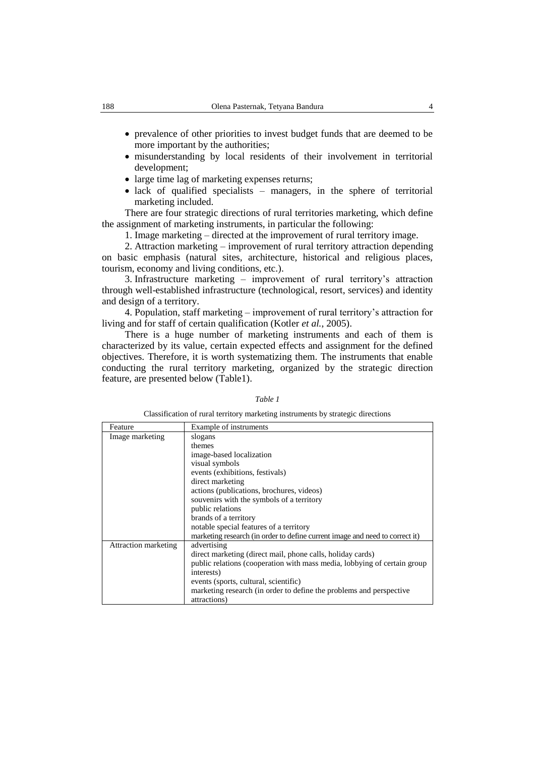- prevalence of other priorities to invest budget funds that are deemed to be more important by the authorities;
- misunderstanding by local residents of their involvement in territorial development;
- large time lag of marketing expenses returns;
- lack of qualified specialists managers, in the sphere of territorial marketing included.

There are four strategic directions of rural territories marketing, which define the assignment of marketing instruments, in particular the following:

1. Image marketing – directed at the improvement of rural territory image.

2. Attraction marketing – improvement of rural territory attraction depending on basic emphasis (natural sites, architecture, historical and religious places, tourism, economy and living conditions, etc.).

3. Infrastructure marketing – improvement of rural territory's attraction through well-established infrastructure (technological, resort, services) and identity and design of a territory.

4. Population, staff marketing – improvement of rural territory's attraction for living and for staff of certain qualification (Kotler *et al.*, 2005).

There is a huge number of marketing instruments and each of them is characterized by its value, certain expected effects and assignment for the defined objectives. Therefore, it is worth systematizing them. The instruments that enable conducting the rural territory marketing, organized by the strategic direction feature, are presented below (Table1).

#### *Table 1*

Classification of rural territory marketing instruments by strategic directions

| Feature                     | Example of instruments                                                       |
|-----------------------------|------------------------------------------------------------------------------|
| Image marketing             | slogans                                                                      |
|                             | themes                                                                       |
|                             | image-based localization                                                     |
|                             | visual symbols                                                               |
|                             | events (exhibitions, festivals)                                              |
|                             | direct marketing                                                             |
|                             | actions (publications, brochures, videos)                                    |
|                             | souvenirs with the symbols of a territory                                    |
|                             | public relations                                                             |
|                             | brands of a territory                                                        |
|                             | notable special features of a territory                                      |
|                             | marketing research (in order to define current image and need to correct it) |
| <b>Attraction marketing</b> | advertising                                                                  |
|                             | direct marketing (direct mail, phone calls, holiday cards)                   |
|                             | public relations (cooperation with mass media, lobbying of certain group     |
|                             | interests)                                                                   |
|                             | events (sports, cultural, scientific)                                        |
|                             | marketing research (in order to define the problems and perspective          |
|                             | attractions)                                                                 |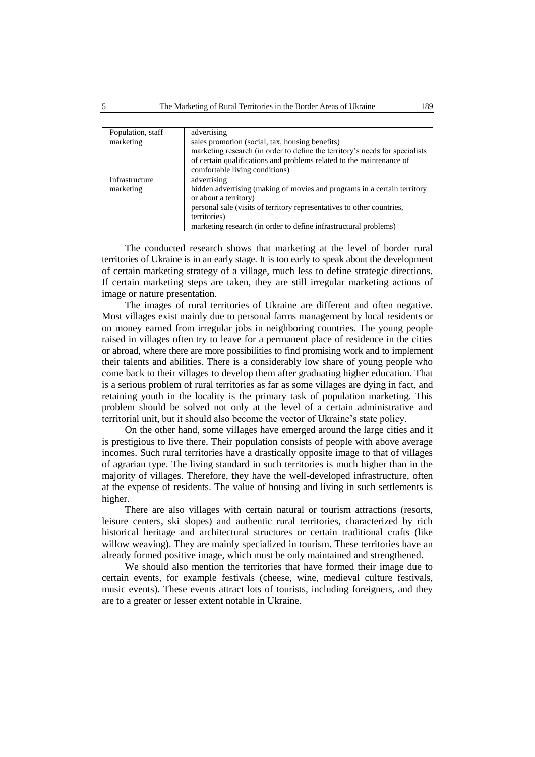| Population, staff | advertising                                                                  |
|-------------------|------------------------------------------------------------------------------|
| marketing         | sales promotion (social, tax, housing benefits)                              |
|                   | marketing research (in order to define the territory's needs for specialists |
|                   | of certain qualifications and problems related to the maintenance of         |
|                   | comfortable living conditions)                                               |
| Infrastructure    | advertising                                                                  |
| marketing         | hidden advertising (making of movies and programs in a certain territory     |
|                   | or about a territory)                                                        |
|                   | personal sale (visits of territory representatives to other countries,       |
|                   | territories)                                                                 |
|                   | marketing research (in order to define infrastructural problems)             |

The conducted research shows that marketing at the level of border rural territories of Ukraine is in an early stage. It is too early to speak about the development of certain marketing strategy of a village, much less to define strategic directions. If certain marketing steps are taken, they are still irregular marketing actions of image or nature presentation.

The images of rural territories of Ukraine are different and often negative. Most villages exist mainly due to personal farms management by local residents or on money earned from irregular jobs in neighboring countries. The young people raised in villages often try to leave for a permanent place of residence in the cities or abroad, where there are more possibilities to find promising work and to implement their talents and abilities. There is a considerably low share of young people who come back to their villages to develop them after graduating higher education. That is a serious problem of rural territories as far as some villages are dying in fact, and retaining youth in the locality is the primary task of population marketing. This problem should be solved not only at the level of a certain administrative and territorial unit, but it should also become the vector of Ukraine's state policy.

On the other hand, some villages have emerged around the large cities and it is prestigious to live there. Their population consists of people with above average incomes. Such rural territories have a drastically opposite image to that of villages of agrarian type. The living standard in such territories is much higher than in the majority of villages. Therefore, they have the well-developed infrastructure, often at the expense of residents. The value of housing and living in such settlements is higher.

There are also villages with certain natural or tourism attractions (resorts, leisure centers, ski slopes) and authentic rural territories, characterized by rich historical heritage and architectural structures or certain traditional crafts (like willow weaving). They are mainly specialized in tourism. These territories have an already formed positive image, which must be only maintained and strengthened.

We should also mention the territories that have formed their image due to certain events, for example festivals (cheese, wine, medieval culture festivals, music events). These events attract lots of tourists, including foreigners, and they are to a greater or lesser extent notable in Ukraine.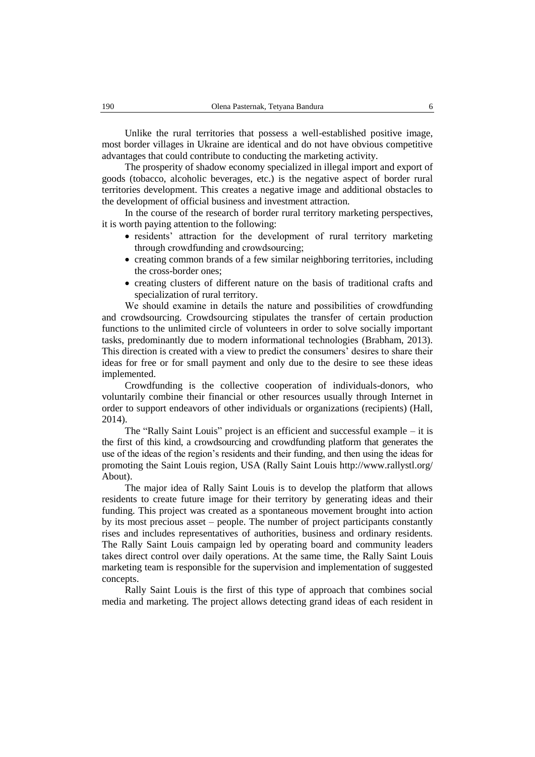Unlike the rural territories that possess a well-established positive image, most border villages in Ukraine are identical and do not have obvious competitive advantages that could contribute to conducting the marketing activity.

The prosperity of shadow economy specialized in illegal import and export of goods (tobacco, alcoholic beverages, etc.) is the negative aspect of border rural territories development. This creates a negative image and additional obstacles to the development of official business and investment attraction.

In the course of the research of border rural territory marketing perspectives, it is worth paying attention to the following:

- residents' attraction for the development of rural territory marketing through сrowdfunding and crowdsourcing;
- creating common brands of a few similar neighboring territories, including the cross-border ones;
- creating clusters of different nature on the basis of traditional crafts and specialization of rural territory.

We should examine in details the nature and possibilities of сrowdfunding and crowdsourcing. Crowdsourcing stipulates the transfer of certain production functions to the unlimited circle of volunteers in order to solve socially important tasks, predominantly due to modern informational technologies (Brabham, 2013). This direction is created with a view to predict the consumers' desires to share their ideas for free or for small payment and only due to the desire to see these ideas implemented.

Crowdfunding is the collective cooperation of individuals-donors, who voluntarily combine their financial or other resources usually through Internet in order to support endeavors of other individuals or organizations (recipients) (Hall, 2014).

The "Rally Saint Louis" project is an efficient and successful example – it is the first of this kind, a crowdsourcing and crowdfunding platform that generates the use of the ideas of the region's residents and their funding, and then using the ideas for promoting the Saint Louis region, USA (Rally Saint Louis [http://www.rallystl.org/](http://www.rallystl.org/About) [About\)](http://www.rallystl.org/About).

The major idea of Rally Saint Louis is to develop the platform that allows residents to create future image for their territory by generating ideas and their funding. This project was created as a spontaneous movement brought into action by its most precious asset – people. The number of project participants constantly rises and includes representatives of authorities, business and ordinary residents. The Rally Saint Louis campaign led by operating board and community leaders takes direct control over daily operations. At the same time, the Rally Saint Louis marketing team is responsible for the supervision and implementation of suggested concepts.

Rally Saint Louis is the first of this type of approach that combines social media and marketing. The project allows detecting grand ideas of each resident in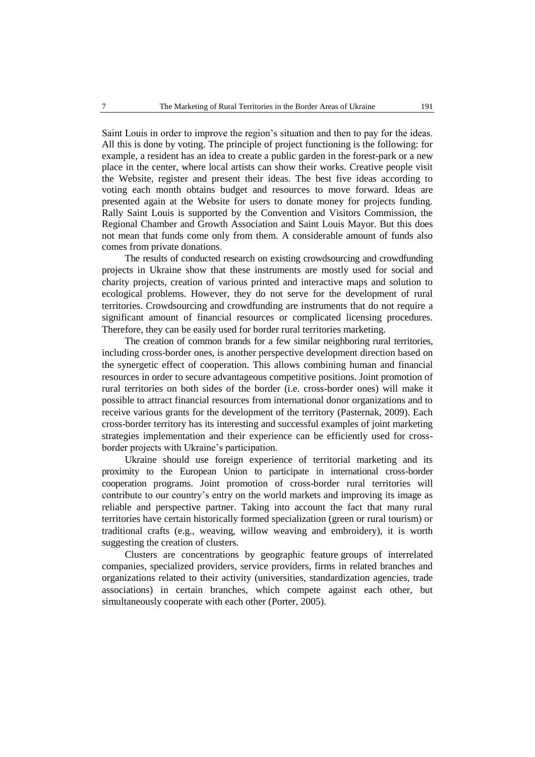Saint Louis in order to improve the region's situation and then to pay for the ideas. All this is done by voting. The principle of project functioning is the following: for example, a resident has an idea to create a public garden in the forest-park or a new place in the center, where local artists can show their works. Creative people visit the Website, register and present their ideas. The best five ideas according to voting each month obtains budget and resources to move forward. Ideas are presented again at the Website for users to donate money for projects funding. Rally Saint Louis is supported by the Convention and Visitors Commission, the Regional Chamber and Growth Association and Saint Louis Mayor. But this does not mean that funds come only from them. A considerable amount of funds also comes from private donations.

The results of conducted research on existing crowdsourcing and crowdfunding projects in Ukraine show that these instruments are mostly used for social and charity projects, creation of various printed and interactive maps and solution to ecological problems. However, they do not serve for the development of rural territories. Crowdsourcing and crowdfunding are instruments that do not require a significant amount of financial resources or complicated licensing procedures. Therefore, they can be easily used for border rural territories marketing.

The creation of common brands for a few similar neighboring rural territories, including cross-border ones, is another perspective development direction based on the synergetic effect of cooperation. This allows combining human and financial resources in order to secure advantageous competitive positions. Joint promotion of rural territories on both sides of the border (i.e. cross-border ones) will make it possible to attract financial resources from international donor organizations and to receive various grants for the development of the territory (Pasternak, 2009). Each cross-border territory has its interesting and successful examples of joint marketing strategies implementation and their experience can be efficiently used for crossborder projects with Ukraine's participation.

Ukraine should use foreign experience of territorial marketing and its proximity to the European Union to participate in international cross-border cooperation programs. Joint promotion of cross-border rural territories will contribute to our country's entry on the world markets and improving its image as reliable and perspective partner. Taking into account the fact that many rural territories have certain historically formed specialization (green or rural tourism) or traditional crafts (e.g., weaving, willow weaving and embroidery), it is worth suggesting the creation of clusters.

Clusters are concentrations by geographic feature groups of interrelated companies, specialized providers, service providers, firms in related branches and organizations related to their activity (universities, standardization agencies, trade associations) in certain branches, which compete against each other, but simultaneously cooperate with each other (Porter, 2005).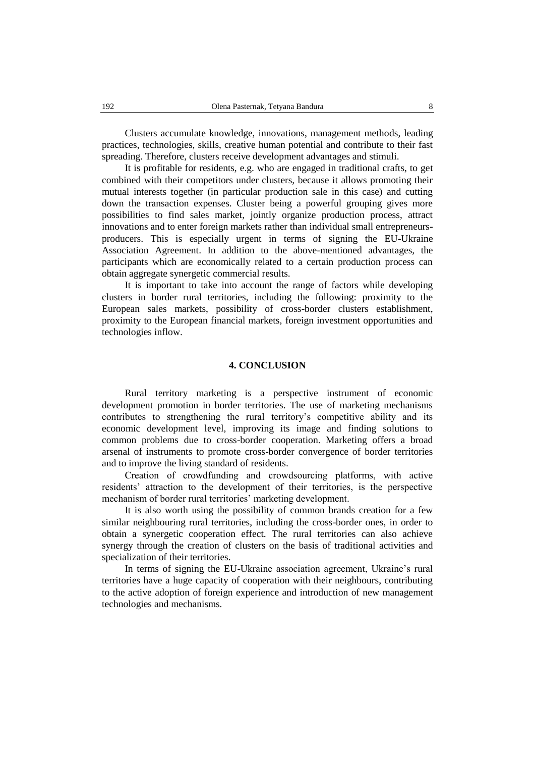Clusters accumulate knowledge, innovations, management methods, leading practices, technologies, skills, creative human potential and contribute to their fast spreading. Therefore, clusters receive development advantages and stimuli.

It is profitable for residents, e.g. who are engaged in traditional crafts, to get combined with their competitors under clusters, because it allows promoting their mutual interests together (in particular production sale in this case) and cutting down the transaction expenses. Cluster being a powerful grouping gives more possibilities to find sales market, jointly organize production process, attract innovations and to enter foreign markets rather than individual small entrepreneursproducers. This is especially urgent in terms of signing the EU-Ukraine Association Agreement. In addition to the above-mentioned advantages, the participants which are economically related to a certain production process can obtain aggregate synergetic commercial results.

It is important to take into account the range of factors while developing clusters in border rural territories, including the following: proximity to the European sales markets, possibility of cross-border clusters establishment, proximity to the European financial markets, foreign investment opportunities and technologies inflow.

#### **4. CONCLUSION**

Rural territory marketing is a perspective instrument of economic development promotion in border territories. The use of marketing mechanisms contributes to strengthening the rural territory's competitive ability and its economic development level, improving its image and finding solutions to common problems due to cross-border cooperation. Marketing offers a broad arsenal of instruments to promote cross-border convergence of border territories and to improve the living standard of residents.

Creation of сrowdfunding and crowdsourcing platforms, with active residents' attraction to the development of their territories, is the perspective mechanism of border rural territories' marketing development.

It is also worth using the possibility of common brands creation for a few similar neighbouring rural territories, including the cross-border ones, in order to obtain a synergetic cooperation effect. The rural territories can also achieve synergy through the creation of clusters on the basis of traditional activities and specialization of their territories.

In terms of signing the EU-Ukraine association agreement, Ukraine's rural territories have a huge capacity of cooperation with their neighbours, contributing to the active adoption of foreign experience and introduction of new management technologies and mechanisms.